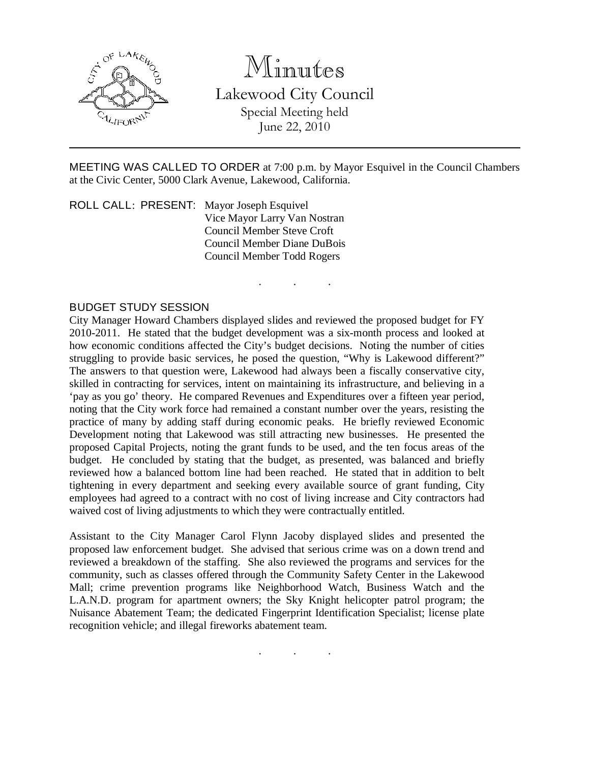

Minutes

Lakewood City Council Special Meeting held June 22, 2010

MEETING WAS CALLED TO ORDER at 7:00 p.m. by Mayor Esquivel in the Council Chambers at the Civic Center, 5000 Clark Avenue, Lakewood, California.

. . .

ROLL CALL: PRESENT: Mayor Joseph Esquivel Vice Mayor Larry Van Nostran Council Member Steve Croft Council Member Diane DuBois Council Member Todd Rogers

## BUDGET STUDY SESSION

City Manager Howard Chambers displayed slides and reviewed the proposed budget for FY 2010-2011. He stated that the budget development was a six-month process and looked at how economic conditions affected the City's budget decisions. Noting the number of cities struggling to provide basic services, he posed the question, "Why is Lakewood different?" The answers to that question were, Lakewood had always been a fiscally conservative city, skilled in contracting for services, intent on maintaining its infrastructure, and believing in a 'pay as you go' theory. He compared Revenues and Expenditures over a fifteen year period, noting that the City work force had remained a constant number over the years, resisting the practice of many by adding staff during economic peaks. He briefly reviewed Economic Development noting that Lakewood was still attracting new businesses. He presented the proposed Capital Projects, noting the grant funds to be used, and the ten focus areas of the budget. He concluded by stating that the budget, as presented, was balanced and briefly reviewed how a balanced bottom line had been reached. He stated that in addition to belt tightening in every department and seeking every available source of grant funding, City employees had agreed to a contract with no cost of living increase and City contractors had waived cost of living adjustments to which they were contractually entitled.

Assistant to the City Manager Carol Flynn Jacoby displayed slides and presented the proposed law enforcement budget. She advised that serious crime was on a down trend and reviewed a breakdown of the staffing. She also reviewed the programs and services for the community, such as classes offered through the Community Safety Center in the Lakewood Mall; crime prevention programs like Neighborhood Watch, Business Watch and the L.A.N.D. program for apartment owners; the Sky Knight helicopter patrol program; the Nuisance Abatement Team; the dedicated Fingerprint Identification Specialist; license plate recognition vehicle; and illegal fireworks abatement team.

. . .